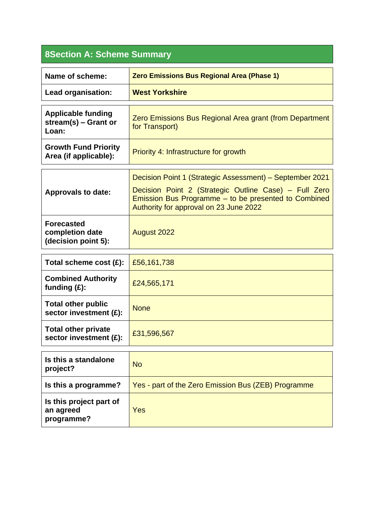## **8Section A: Scheme Summary**

| Name of scheme:                                              | Zero Emissions Bus Regional Area (Phase 1)                                                                                                                                                                          |
|--------------------------------------------------------------|---------------------------------------------------------------------------------------------------------------------------------------------------------------------------------------------------------------------|
| Lead organisation:                                           | <b>West Yorkshire</b>                                                                                                                                                                                               |
| <b>Applicable funding</b><br>stream(s) $-$ Grant or<br>Loan: | Zero Emissions Bus Regional Area grant (from Department<br>for Transport)                                                                                                                                           |
| <b>Growth Fund Priority</b><br>Area (if applicable):         | Priority 4: Infrastructure for growth                                                                                                                                                                               |
| <b>Approvals to date:</b>                                    | Decision Point 1 (Strategic Assessment) – September 2021<br>Decision Point 2 (Strategic Outline Case) – Full Zero<br>Emission Bus Programme – to be presented to Combined<br>Authority for approval on 23 June 2022 |
| <b>Forecasted</b><br>completion date<br>(decision point 5):  | <b>August 2022</b>                                                                                                                                                                                                  |
| Total scheme cost (£):                                       | £56,161,738                                                                                                                                                                                                         |
| <b>Combined Authority</b><br>funding $(f)$ :                 | £24,565,171                                                                                                                                                                                                         |
| <b>Total other public</b><br>sector investment (£):          | <b>None</b>                                                                                                                                                                                                         |
| <b>Total other private</b><br>sector investment (£):         | £31,596,567                                                                                                                                                                                                         |

| Is this a standalone<br>project?                   | <b>No</b>                                           |
|----------------------------------------------------|-----------------------------------------------------|
| Is this a programme?                               | Yes - part of the Zero Emission Bus (ZEB) Programme |
| Is this project part of<br>an agreed<br>programme? | <b>Yes</b>                                          |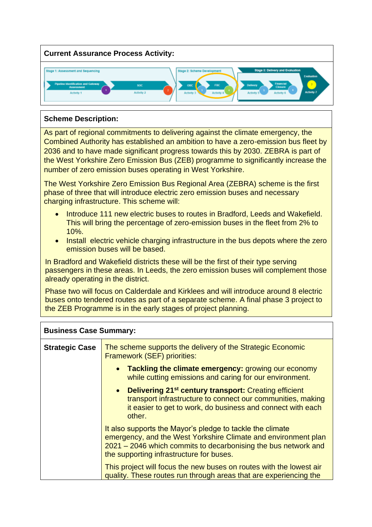

## **Scheme Description:**

As part of regional commitments to delivering against the climate emergency, the Combined Authority has established an ambition to have a zero-emission bus fleet by 2036 and to have made significant progress towards this by 2030. ZEBRA is part of the West Yorkshire Zero Emission Bus (ZEB) programme to significantly increase the number of zero emission buses operating in West Yorkshire.

The West Yorkshire Zero Emission Bus Regional Area (ZEBRA) scheme is the first phase of three that will introduce electric zero emission buses and necessary charging infrastructure. This scheme will:

- Introduce 111 new electric buses to routes in Bradford, Leeds and Wakefield. This will bring the percentage of zero-emission buses in the fleet from 2% to 10%.
- Install electric vehicle charging infrastructure in the bus depots where the zero emission buses will be based.

In Bradford and Wakefield districts these will be the first of their type serving passengers in these areas. In Leeds, the zero emission buses will complement those already operating in the district.

Phase two will focus on Calderdale and Kirklees and will introduce around 8 electric buses onto tendered routes as part of a separate scheme. A final phase 3 project to the ZEB Programme is in the early stages of project planning.

| <b>Business Case Summary:</b> |                                                                                                                                                                                                                                           |
|-------------------------------|-------------------------------------------------------------------------------------------------------------------------------------------------------------------------------------------------------------------------------------------|
| <b>Strategic Case</b>         | The scheme supports the delivery of the Strategic Economic<br>Framework (SEF) priorities:                                                                                                                                                 |
|                               | <b>Tackling the climate emergency: growing our economy</b><br>$\bullet$<br>while cutting emissions and caring for our environment.                                                                                                        |
|                               | • Delivering 21 <sup>st</sup> century transport: Creating efficient<br>transport infrastructure to connect our communities, making<br>it easier to get to work, do business and connect with each<br>other.                               |
|                               | It also supports the Mayor's pledge to tackle the climate<br>emergency, and the West Yorkshire Climate and environment plan<br>2021 – 2046 which commits to decarbonising the bus network and<br>the supporting infrastructure for buses. |
|                               | This project will focus the new buses on routes with the lowest air<br>quality. These routes run through areas that are experiencing the                                                                                                  |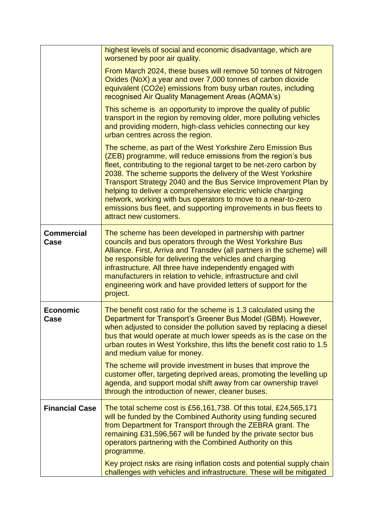|                           | highest levels of social and economic disadvantage, which are<br>worsened by poor air quality.                                                                                                                                                                                                                                                                                                                                                                                                                                                                        |
|---------------------------|-----------------------------------------------------------------------------------------------------------------------------------------------------------------------------------------------------------------------------------------------------------------------------------------------------------------------------------------------------------------------------------------------------------------------------------------------------------------------------------------------------------------------------------------------------------------------|
|                           | From March 2024, these buses will remove 50 tonnes of Nitrogen<br>Oxides (NoX) a year and over 7,000 tonnes of carbon dioxide<br>equivalent (CO2e) emissions from busy urban routes, including<br>recognised Air Quality Management Areas (AQMA's)                                                                                                                                                                                                                                                                                                                    |
|                           | This scheme is an opportunity to improve the quality of public<br>transport in the region by removing older, more polluting vehicles<br>and providing modern, high-class vehicles connecting our key<br>urban centres across the region.                                                                                                                                                                                                                                                                                                                              |
|                           | The scheme, as part of the West Yorkshire Zero Emission Bus<br>(ZEB) programme, will reduce emissions from the region's bus<br>fleet, contributing to the regional target to be net-zero carbon by<br>2038. The scheme supports the delivery of the West Yorkshire<br>Transport Strategy 2040 and the Bus Service Improvement Plan by<br>helping to deliver a comprehensive electric vehicle charging<br>network, working with bus operators to move to a near-to-zero<br>emissions bus fleet, and supporting improvements in bus fleets to<br>attract new customers. |
| <b>Commercial</b><br>Case | The scheme has been developed in partnership with partner<br>councils and bus operators through the West Yorkshire Bus<br>Alliance. First, Arriva and Transdev (all partners in the scheme) will<br>be responsible for delivering the vehicles and charging<br>infrastructure. All three have independently engaged with<br>manufacturers in relation to vehicle, infrastructure and civil<br>engineering work and have provided letters of support for the<br>project.                                                                                               |
| <b>Economic</b><br>Case   | The benefit cost ratio for the scheme is 1.3 calculated using the<br>Department for Transport's Greener Bus Model (GBM). However,<br>when adjusted to consider the pollution saved by replacing a diesel<br>bus that would operate at much lower speeds as is the case on the<br>urban routes in West Yorkshire, this lifts the benefit cost ratio to 1.5<br>and medium value for money.                                                                                                                                                                              |
|                           | The scheme will provide investment in buses that improve the<br>customer offer, targeting deprived areas, promoting the levelling up<br>agenda, and support modal shift away from car ownership travel<br>through the introduction of newer, cleaner buses.                                                                                                                                                                                                                                                                                                           |
| <b>Financial Case</b>     | The total scheme cost is £56,161,738. Of this total, £24,565,171<br>will be funded by the Combined Authority using funding secured<br>from Department for Transport through the ZEBRA grant. The<br>remaining £31,596,567 will be funded by the private sector bus<br>operators partnering with the Combined Authority on this<br>programme.                                                                                                                                                                                                                          |
|                           | Key project risks are rising inflation costs and potential supply chain<br>challenges with vehicles and infrastructure. These will be mitigated                                                                                                                                                                                                                                                                                                                                                                                                                       |